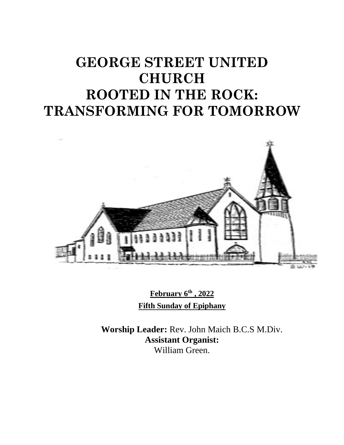# **GEORGE STREET UNITED CHURCH ROOTED IN THE ROCK: TRANSFORMING FOR TOMORROW**



**February 6th , 2022 Fifth Sunday of Epiphany**

**Worship Leader:** Rev. John Maich B.C.S M.Div. **Assistant Organist:**  William Green.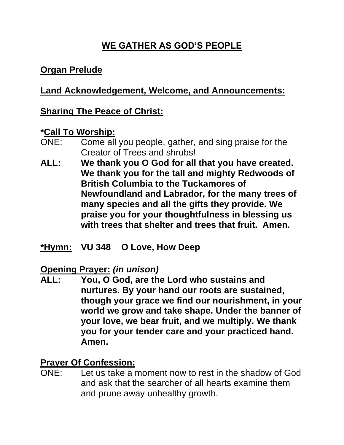# **WE GATHER AS GOD'S PEOPLE**

## **Organ Prelude**

## **Land Acknowledgement, Welcome, and Announcements:**

## **Sharing The Peace of Christ:**

#### **\*Call To Worship:**

- ONE: Come all you people, gather, and sing praise for the Creator of Trees and shrubs!
- **ALL: We thank you O God for all that you have created. We thank you for the tall and mighty Redwoods of British Columbia to the Tuckamores of Newfoundland and Labrador, for the many trees of many species and all the gifts they provide. We praise you for your thoughtfulness in blessing us with trees that shelter and trees that fruit. Amen.**
- **\*Hymn: VU 348 O Love, How Deep**

#### **Opening Prayer:** *(in unison)*

**ALL: You, O God, are the Lord who sustains and nurtures. By your hand our roots are sustained, though your grace we find our nourishment, in your world we grow and take shape. Under the banner of your love, we bear fruit, and we multiply. We thank you for your tender care and your practiced hand. Amen.**

## **Prayer Of Confession:**

ONE: Let us take a moment now to rest in the shadow of God and ask that the searcher of all hearts examine them and prune away unhealthy growth.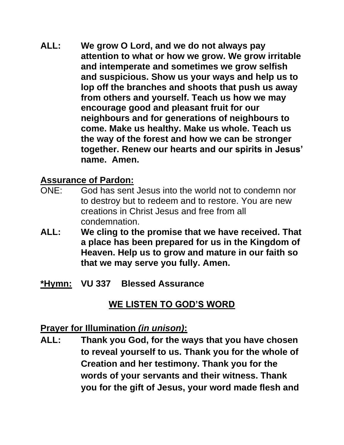**ALL: We grow O Lord, and we do not always pay attention to what or how we grow. We grow irritable and intemperate and sometimes we grow selfish and suspicious. Show us your ways and help us to lop off the branches and shoots that push us away from others and yourself. Teach us how we may encourage good and pleasant fruit for our neighbours and for generations of neighbours to come. Make us healthy. Make us whole. Teach us the way of the forest and how we can be stronger together. Renew our hearts and our spirits in Jesus' name. Amen.**

#### **Assurance of Pardon:**

- ONE: God has sent Jesus into the world not to condemn nor to destroy but to redeem and to restore. You are new creations in Christ Jesus and free from all condemnation.
- **ALL: We cling to the promise that we have received. That a place has been prepared for us in the Kingdom of Heaven. Help us to grow and mature in our faith so that we may serve you fully. Amen.**
- **\*Hymn: VU 337 Blessed Assurance**

## **WE LISTEN TO GOD'S WORD**

#### **Prayer for Illumination** *(in unison)***:**

**ALL: Thank you God, for the ways that you have chosen to reveal yourself to us. Thank you for the whole of Creation and her testimony. Thank you for the words of your servants and their witness. Thank you for the gift of Jesus, your word made flesh and**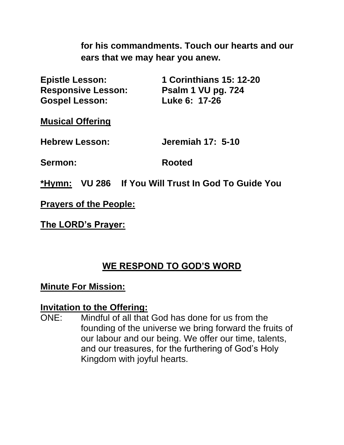**for his commandments. Touch our hearts and our ears that we may hear you anew.**

| <b>Epistle Lesson:</b>    | <b>1 Corinthians 15: 12-20</b> |
|---------------------------|--------------------------------|
| <b>Responsive Lesson:</b> | Psalm 1 VU pg. 724             |
| <b>Gospel Lesson:</b>     | Luke 6: 17-26                  |

**Musical Offering**

**Hebrew Lesson: Jeremiah 17: 5-10**

**Sermon: Rooted**

**\*Hymn: VU 286 If You Will Trust In God To Guide You**

**Prayers of the People:**

**The LORD's Prayer:**

## **WE RESPOND TO GOD'S WORD**

#### **Minute For Mission:**

#### **Invitation to the Offering:**

ONE: Mindful of all that God has done for us from the founding of the universe we bring forward the fruits of our labour and our being. We offer our time, talents, and our treasures, for the furthering of God's Holy Kingdom with joyful hearts.